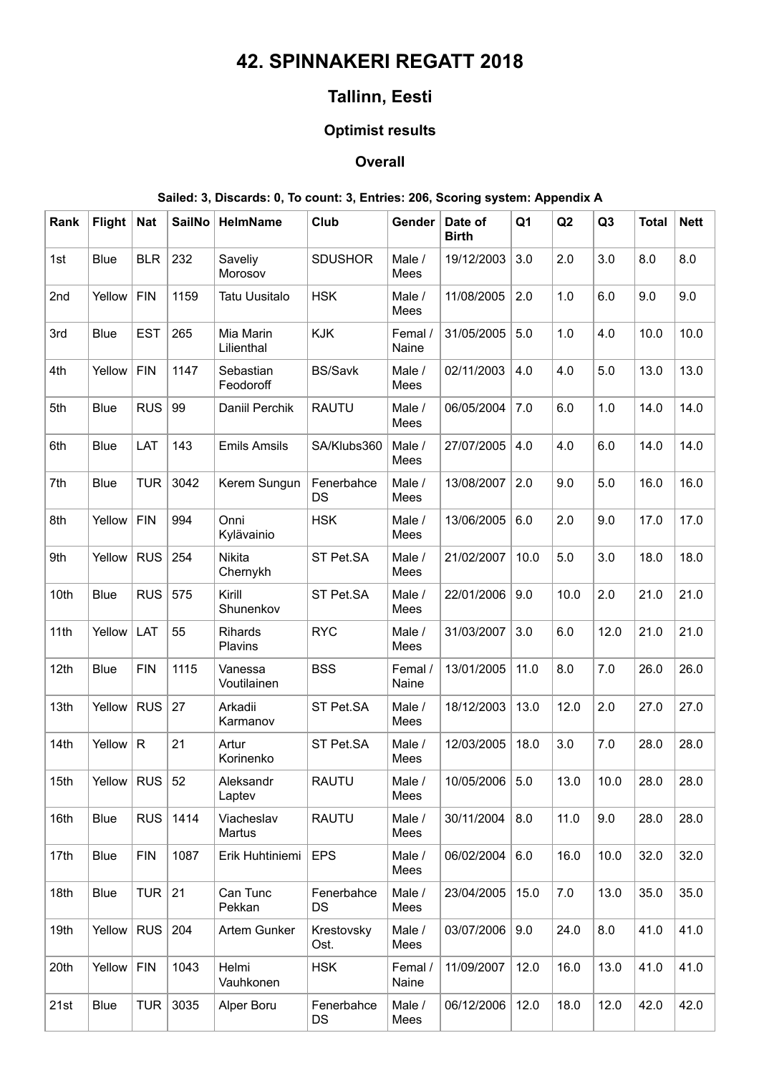# **42. SPINNAKERI REGATT 2018**

# **Tallinn, Eesti**

### **Optimist results**

### **Overall**

#### **Sailed: 3, Discards: 0, To count: 3, Entries: 206, Scoring system: Appendix A**

| Rank | Flight       | <b>Nat</b>   | <b>SailNo</b> | <b>HelmName</b>         | Club                    | Gender           | Date of<br><b>Birth</b> | Q <sub>1</sub> | Q2   | Q <sub>3</sub> | <b>Total</b> | <b>Nett</b> |
|------|--------------|--------------|---------------|-------------------------|-------------------------|------------------|-------------------------|----------------|------|----------------|--------------|-------------|
| 1st  | Blue         | <b>BLR</b>   | 232           | Saveliy<br>Morosov      | <b>SDUSHOR</b>          | Male /<br>Mees   | 19/12/2003              | 3.0            | 2.0  | 3.0            | 8.0          | 8.0         |
| 2nd  | Yellow       | <b>FIN</b>   | 1159          | <b>Tatu Uusitalo</b>    | <b>HSK</b>              | Male /<br>Mees   | 11/08/2005              | 2.0            | 1.0  | 6.0            | 9.0          | 9.0         |
| 3rd  | Blue         | <b>EST</b>   | 265           | Mia Marin<br>Lilienthal | <b>KJK</b>              | Femal /<br>Naine | 31/05/2005              | 5.0            | 1.0  | 4.0            | 10.0         | 10.0        |
| 4th  | Yellow       | <b>FIN</b>   | 1147          | Sebastian<br>Feodoroff  | <b>BS/Savk</b>          | Male /<br>Mees   | 02/11/2003              | 4.0            | 4.0  | 5.0            | 13.0         | 13.0        |
| 5th  | <b>Blue</b>  | <b>RUS</b>   | 99            | Daniil Perchik          | <b>RAUTU</b>            | Male /<br>Mees   | 06/05/2004              | 7.0            | 6.0  | 1.0            | 14.0         | 14.0        |
| 6th  | Blue         | LAT          | 143           | <b>Emils Amsils</b>     | SA/Klubs360             | Male /<br>Mees   | 27/07/2005              | 4.0            | 4.0  | 6.0            | 14.0         | 14.0        |
| 7th  | Blue         | <b>TUR</b>   | 3042          | Kerem Sungun            | Fenerbahce<br><b>DS</b> | Male /<br>Mees   | 13/08/2007              | 2.0            | 9.0  | 5.0            | 16.0         | 16.0        |
| 8th  | Yellow       | <b>FIN</b>   | 994           | Onni<br>Kylävainio      | <b>HSK</b>              | Male /<br>Mees   | 13/06/2005              | 6.0            | 2.0  | 9.0            | 17.0         | 17.0        |
| 9th  | Yellow       | <b>RUS</b>   | 254           | Nikita<br>Chernykh      | ST Pet.SA               | Male /<br>Mees   | 21/02/2007              | 10.0           | 5.0  | 3.0            | 18.0         | 18.0        |
| 10th | Blue         | <b>RUS</b>   | 575           | Kirill<br>Shunenkov     | ST Pet.SA               | Male /<br>Mees   | 22/01/2006              | 9.0            | 10.0 | 2.0            | 21.0         | 21.0        |
| 11th | Yellow       | LAT          | 55            | Rihards<br>Plavins      | <b>RYC</b>              | Male /<br>Mees   | 31/03/2007              | 3.0            | 6.0  | 12.0           | 21.0         | 21.0        |
| 12th | Blue         | <b>FIN</b>   | 1115          | Vanessa<br>Voutilainen  | <b>BSS</b>              | Femal /<br>Naine | 13/01/2005              | 11.0           | 8.0  | 7.0            | 26.0         | 26.0        |
| 13th | Yellow       | <b>RUS</b>   | 27            | Arkadii<br>Karmanov     | ST Pet.SA               | Male /<br>Mees   | 18/12/2003              | 13.0           | 12.0 | 2.0            | 27.0         | 27.0        |
| 14th | Yellow       | $\mathsf{R}$ | 21            | Artur<br>Korinenko      | ST Pet.SA               | Male /<br>Mees   | 12/03/2005              | 18.0           | 3.0  | 7.0            | 28.0         | 28.0        |
| 15th | Yellow   RUS |              | 52            | Aleksandr<br>Laptev     | <b>RAUTU</b>            | Male /<br>Mees   | 10/05/2006              | 5.0            | 13.0 | 10.0           | 28.0         | 28.0        |
| 16th | Blue         | RUS          | 1414          | Viacheslav<br>Martus    | <b>RAUTU</b>            | Male /<br>Mees   | 30/11/2004              | 8.0            | 11.0 | 9.0            | 28.0         | 28.0        |
| 17th | Blue         | <b>FIN</b>   | 1087          | Erik Huhtiniemi         | <b>EPS</b>              | Male /<br>Mees   | 06/02/2004              | 6.0            | 16.0 | 10.0           | 32.0         | 32.0        |
| 18th | <b>Blue</b>  | TUR $ 21$    |               | Can Tunc<br>Pekkan      | Fenerbahce<br>DS        | Male /<br>Mees   | 23/04/2005              | 15.0           | 7.0  | 13.0           | 35.0         | 35.0        |
| 19th | Yellow       | RUS          | 204           | Artem Gunker            | Krestovsky<br>Ost.      | Male /<br>Mees   | 03/07/2006              | 9.0            | 24.0 | 8.0            | 41.0         | 41.0        |
| 20th | Yellow       | <b>FIN</b>   | 1043          | Helmi<br>Vauhkonen      | <b>HSK</b>              | Femal /<br>Naine | 11/09/2007              | 12.0           | 16.0 | 13.0           | 41.0         | 41.0        |
| 21st | <b>Blue</b>  | TUR          | 3035          | Alper Boru              | Fenerbahce<br>DS        | Male /<br>Mees   | 06/12/2006              | 12.0           | 18.0 | 12.0           | 42.0         | 42.0        |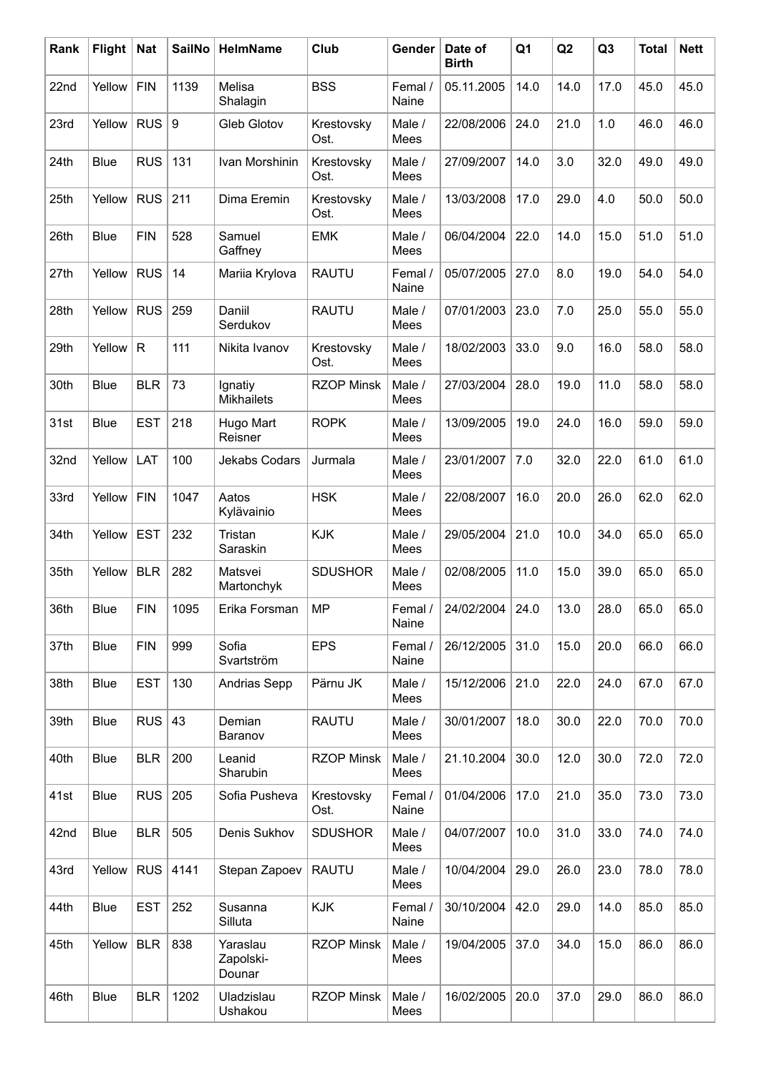| Rank | <b>Flight</b> | <b>Nat</b>   | <b>SailNo</b> | <b>HelmName</b>                 | Club               | Gender                | Date of<br><b>Birth</b> | Q1   | Q2   | Q <sub>3</sub> | <b>Total</b> | <b>Nett</b> |
|------|---------------|--------------|---------------|---------------------------------|--------------------|-----------------------|-------------------------|------|------|----------------|--------------|-------------|
| 22nd | Yellow        | <b>FIN</b>   | 1139          | Melisa<br>Shalagin              | <b>BSS</b>         | Femal /<br>Naine      | 05.11.2005              | 14.0 | 14.0 | 17.0           | 45.0         | 45.0        |
| 23rd | Yellow        | <b>RUS</b>   | l 9           | Gleb Glotov                     | Krestovsky<br>Ost. | Male /<br>Mees        | 22/08/2006              | 24.0 | 21.0 | 1.0            | 46.0         | 46.0        |
| 24th | <b>Blue</b>   | <b>RUS</b>   | 131           | Ivan Morshinin                  | Krestovsky<br>Ost. | Male /<br><b>Mees</b> | 27/09/2007              | 14.0 | 3.0  | 32.0           | 49.0         | 49.0        |
| 25th | Yellow        | <b>RUS</b>   | 211           | Dima Eremin                     | Krestovsky<br>Ost. | Male /<br>Mees        | 13/03/2008              | 17.0 | 29.0 | 4.0            | 50.0         | 50.0        |
| 26th | <b>Blue</b>   | <b>FIN</b>   | 528           | Samuel<br>Gaffney               | <b>EMK</b>         | Male /<br>Mees        | 06/04/2004              | 22.0 | 14.0 | 15.0           | 51.0         | 51.0        |
| 27th | Yellow        | <b>RUS</b>   | 14            | Mariia Krylova                  | <b>RAUTU</b>       | Femal /<br>Naine      | 05/07/2005              | 27.0 | 8.0  | 19.0           | 54.0         | 54.0        |
| 28th | Yellow        | <b>RUS</b>   | 259           | Daniil<br>Serdukov              | <b>RAUTU</b>       | Male /<br>Mees        | 07/01/2003              | 23.0 | 7.0  | 25.0           | 55.0         | 55.0        |
| 29th | Yellow        | $\mathsf{R}$ | 111           | Nikita Ivanov                   | Krestovsky<br>Ost. | Male /<br>Mees        | 18/02/2003              | 33.0 | 9.0  | 16.0           | 58.0         | 58.0        |
| 30th | <b>Blue</b>   | <b>BLR</b>   | 73            | Ignatiy<br><b>Mikhailets</b>    | <b>RZOP Minsk</b>  | Male /<br>Mees        | 27/03/2004              | 28.0 | 19.0 | 11.0           | 58.0         | 58.0        |
| 31st | <b>Blue</b>   | <b>EST</b>   | 218           | Hugo Mart<br>Reisner            | <b>ROPK</b>        | Male /<br>Mees        | 13/09/2005              | 19.0 | 24.0 | 16.0           | 59.0         | 59.0        |
| 32nd | Yellow        | LAT          | 100           | Jekabs Codars                   | Jurmala            | Male /<br>Mees        | 23/01/2007              | 7.0  | 32.0 | 22.0           | 61.0         | 61.0        |
| 33rd | Yellow        | <b>FIN</b>   | 1047          | Aatos<br>Kylävainio             | <b>HSK</b>         | Male /<br>Mees        | 22/08/2007              | 16.0 | 20.0 | 26.0           | 62.0         | 62.0        |
| 34th | Yellow        | <b>EST</b>   | 232           | Tristan<br>Saraskin             | <b>KJK</b>         | Male /<br>Mees        | 29/05/2004              | 21.0 | 10.0 | 34.0           | 65.0         | 65.0        |
| 35th | Yellow        | <b>BLR</b>   | 282           | Matsvei<br>Martonchyk           | <b>SDUSHOR</b>     | Male /<br>Mees        | 02/08/2005              | 11.0 | 15.0 | 39.0           | 65.0         | 65.0        |
| 36th | Blue          | <b>FIN</b>   | 1095          | Erika Forsman                   | <b>MP</b>          | Femal /<br>Naine      | 24/02/2004              | 24.0 | 13.0 | 28.0           | 65.0         | 65.0        |
| 37th | <b>Blue</b>   | <b>FIN</b>   | 999           | Sofia<br>Svartström             | <b>EPS</b>         | Femal /<br>Naine      | 26/12/2005              | 31.0 | 15.0 | 20.0           | 66.0         | 66.0        |
| 38th | Blue          | <b>EST</b>   | 130           | Andrias Sepp                    | Pärnu JK           | Male /<br>Mees        | 15/12/2006              | 21.0 | 22.0 | 24.0           | 67.0         | 67.0        |
| 39th | Blue          | <b>RUS</b>   | 43            | Demian<br>Baranov               | <b>RAUTU</b>       | Male /<br>Mees        | 30/01/2007              | 18.0 | 30.0 | 22.0           | 70.0         | 70.0        |
| 40th | <b>Blue</b>   | <b>BLR</b>   | 200           | Leanid<br>Sharubin              | <b>RZOP Minsk</b>  | Male /<br>Mees        | 21.10.2004              | 30.0 | 12.0 | 30.0           | 72.0         | 72.0        |
| 41st | Blue          | RUS          | 205           | Sofia Pusheva                   | Krestovsky<br>Ost. | Femal /<br>Naine      | 01/04/2006              | 17.0 | 21.0 | 35.0           | 73.0         | 73.0        |
| 42nd | Blue          | <b>BLR</b>   | 505           | Denis Sukhov                    | <b>SDUSHOR</b>     | Male /<br>Mees        | 04/07/2007              | 10.0 | 31.0 | 33.0           | 74.0         | 74.0        |
| 43rd | Yellow        |              | RUS 4141      | Stepan Zapoev                   | <b>RAUTU</b>       | Male /<br>Mees        | 10/04/2004              | 29.0 | 26.0 | 23.0           | 78.0         | 78.0        |
| 44th | <b>Blue</b>   | <b>EST</b>   | 252           | Susanna<br>Silluta              | <b>KJK</b>         | Femal /<br>Naine      | 30/10/2004              | 42.0 | 29.0 | 14.0           | 85.0         | 85.0        |
| 45th | Yellow        | <b>BLR</b>   | 838           | Yaraslau<br>Zapolski-<br>Dounar | <b>RZOP Minsk</b>  | Male /<br>Mees        | 19/04/2005              | 37.0 | 34.0 | 15.0           | 86.0         | 86.0        |
| 46th | Blue          | <b>BLR</b>   | 1202          | Uladzislau<br>Ushakou           | <b>RZOP Minsk</b>  | Male /<br>Mees        | 16/02/2005              | 20.0 | 37.0 | 29.0           | 86.0         | 86.0        |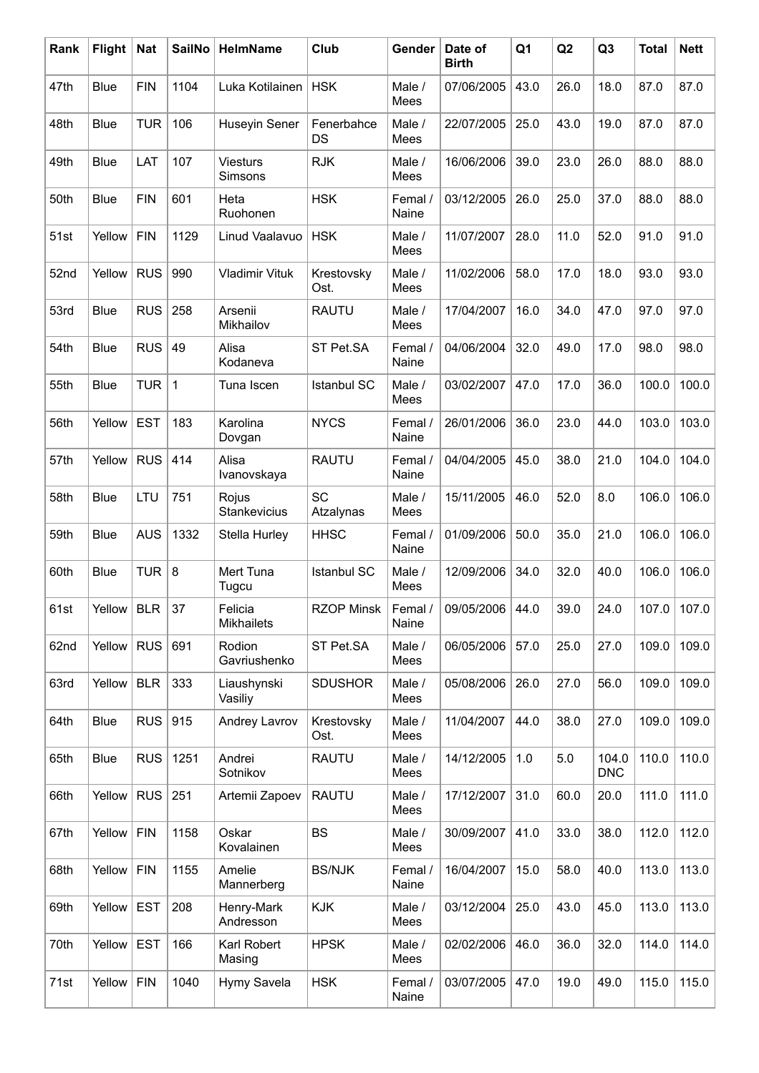| Rank | <b>Flight</b> | <b>Nat</b> | <b>SailNo</b> | HelmName                     | Club                   | Gender                 | Date of<br><b>Birth</b> | Q1   | Q2   | Q <sub>3</sub>      | <b>Total</b> | <b>Nett</b>   |
|------|---------------|------------|---------------|------------------------------|------------------------|------------------------|-------------------------|------|------|---------------------|--------------|---------------|
| 47th | <b>Blue</b>   | <b>FIN</b> | 1104          | Luka Kotilainen              | <b>HSK</b>             | Male /<br>Mees         | 07/06/2005              | 43.0 | 26.0 | 18.0                | 87.0         | 87.0          |
| 48th | Blue          | <b>TUR</b> | 106           | Huseyin Sener                | Fenerbahce<br>DS       | Male /<br>Mees         | 22/07/2005              | 25.0 | 43.0 | 19.0                | 87.0         | 87.0          |
| 49th | <b>Blue</b>   | LAT        | 107           | <b>Viesturs</b><br>Simsons   | <b>RJK</b>             | Male /<br>Mees         | 16/06/2006              | 39.0 | 23.0 | 26.0                | 88.0         | 88.0          |
| 50th | Blue          | <b>FIN</b> | 601           | Heta<br>Ruohonen             | <b>HSK</b>             | Femal /<br>Naine       | 03/12/2005              | 26.0 | 25.0 | 37.0                | 88.0         | 88.0          |
| 51st | Yellow        | <b>FIN</b> | 1129          | Linud Vaalavuo               | <b>HSK</b>             | Male /<br>Mees         | 11/07/2007              | 28.0 | 11.0 | 52.0                | 91.0         | 91.0          |
| 52nd | Yellow        | <b>RUS</b> | 990           | <b>Vladimir Vituk</b>        | Krestovsky<br>Ost.     | Male /<br>Mees         | 11/02/2006              | 58.0 | 17.0 | 18.0                | 93.0         | 93.0          |
| 53rd | <b>Blue</b>   | <b>RUS</b> | 258           | Arsenii<br>Mikhailov         | <b>RAUTU</b>           | Male /<br>Mees         | 17/04/2007              | 16.0 | 34.0 | 47.0                | 97.0         | 97.0          |
| 54th | Blue          | <b>RUS</b> | 49            | Alisa<br>Kodaneva            | ST Pet.SA              | Femal /<br>Naine       | 04/06/2004              | 32.0 | 49.0 | 17.0                | 98.0         | 98.0          |
| 55th | Blue          | TUR        | $\mathbf 1$   | Tuna Iscen                   | <b>Istanbul SC</b>     | Male /<br>Mees         | 03/02/2007              | 47.0 | 17.0 | 36.0                | 100.0        | 100.0         |
| 56th | Yellow        | <b>EST</b> | 183           | Karolina<br>Dovgan           | <b>NYCS</b>            | Femal /<br>Naine       | 26/01/2006              | 36.0 | 23.0 | 44.0                | 103.0        | 103.0         |
| 57th | Yellow        | <b>RUS</b> | 414           | Alisa<br>Ivanovskaya         | <b>RAUTU</b>           | Femal /<br>Naine       | 04/04/2005              | 45.0 | 38.0 | 21.0                | 104.0        | 104.0         |
| 58th | <b>Blue</b>   | LTU        | 751           | Rojus<br>Stankevicius        | <b>SC</b><br>Atzalynas | Male /<br>Mees         | 15/11/2005              | 46.0 | 52.0 | 8.0                 | 106.0        | 106.0         |
| 59th | Blue          | <b>AUS</b> | 1332          | Stella Hurley                | <b>HHSC</b>            | Femal /<br>Naine       | 01/09/2006              | 50.0 | 35.0 | 21.0                | 106.0        | 106.0         |
| 60th | <b>Blue</b>   | TUR $ 8$   |               | Mert Tuna<br>Tugcu           | <b>Istanbul SC</b>     | Male /<br>Mees         | 12/09/2006              | 34.0 | 32.0 | 40.0                | 106.0        | 106.0         |
| 61st | Yellow        | <b>BLR</b> | 37            | Felicia<br><b>Mikhailets</b> | <b>RZOP Minsk</b>      | $ $ Femal $/$<br>Naine | 09/05/2006              | 44.0 | 39.0 | 24.0                |              | $107.0$ 107.0 |
| 62nd | Yellow        | <b>RUS</b> | 691           | Rodion<br>Gavriushenko       | ST Pet.SA              | Male /<br>Mees         | 06/05/2006              | 57.0 | 25.0 | 27.0                | 109.0        | 109.0         |
| 63rd | Yellow        | <b>BLR</b> | 333           | Liaushynski<br>Vasiliy       | <b>SDUSHOR</b>         | Male /<br>Mees         | 05/08/2006              | 26.0 | 27.0 | 56.0                | 109.0        | 109.0         |
| 64th | <b>Blue</b>   | <b>RUS</b> | 915           | <b>Andrey Lavrov</b>         | Krestovsky<br>Ost.     | Male /<br>Mees         | 11/04/2007              | 44.0 | 38.0 | 27.0                | 109.0        | 109.0         |
| 65th | Blue          | <b>RUS</b> | 1251          | Andrei<br>Sotnikov           | <b>RAUTU</b>           | Male /<br>Mees         | 14/12/2005              | 1.0  | 5.0  | 104.0<br><b>DNC</b> | 110.0        | 110.0         |
| 66th | Yellow        | $RUS$ 251  |               | Artemii Zapoev               | <b>RAUTU</b>           | Male /<br>Mees         | 17/12/2007              | 31.0 | 60.0 | 20.0                | 111.0        | 111.0         |
| 67th | Yellow        | <b>FIN</b> | 1158          | Oskar<br>Kovalainen          | <b>BS</b>              | Male /<br>Mees         | 30/09/2007              | 41.0 | 33.0 | 38.0                | 112.0        | 112.0         |
| 68th | Yellow        | <b>FIN</b> | 1155          | Amelie<br>Mannerberg         | <b>BS/NJK</b>          | Femal /<br>Naine       | 16/04/2007              | 15.0 | 58.0 | 40.0                | 113.0        | 113.0         |
| 69th | Yellow        | <b>EST</b> | 208           | Henry-Mark<br>Andresson      | <b>KJK</b>             | Male /<br>Mees         | 03/12/2004              | 25.0 | 43.0 | 45.0                | 113.0        | 113.0         |
| 70th | Yellow        | <b>EST</b> | 166           | Karl Robert<br>Masing        | <b>HPSK</b>            | Male /<br>Mees         | 02/02/2006              | 46.0 | 36.0 | 32.0                | 114.0        | 114.0         |
| 71st | Yellow        | <b>FIN</b> | 1040          | Hymy Savela                  | <b>HSK</b>             | Femal /<br>Naine       | 03/07/2005              | 47.0 | 19.0 | 49.0                | 115.0        | 115.0         |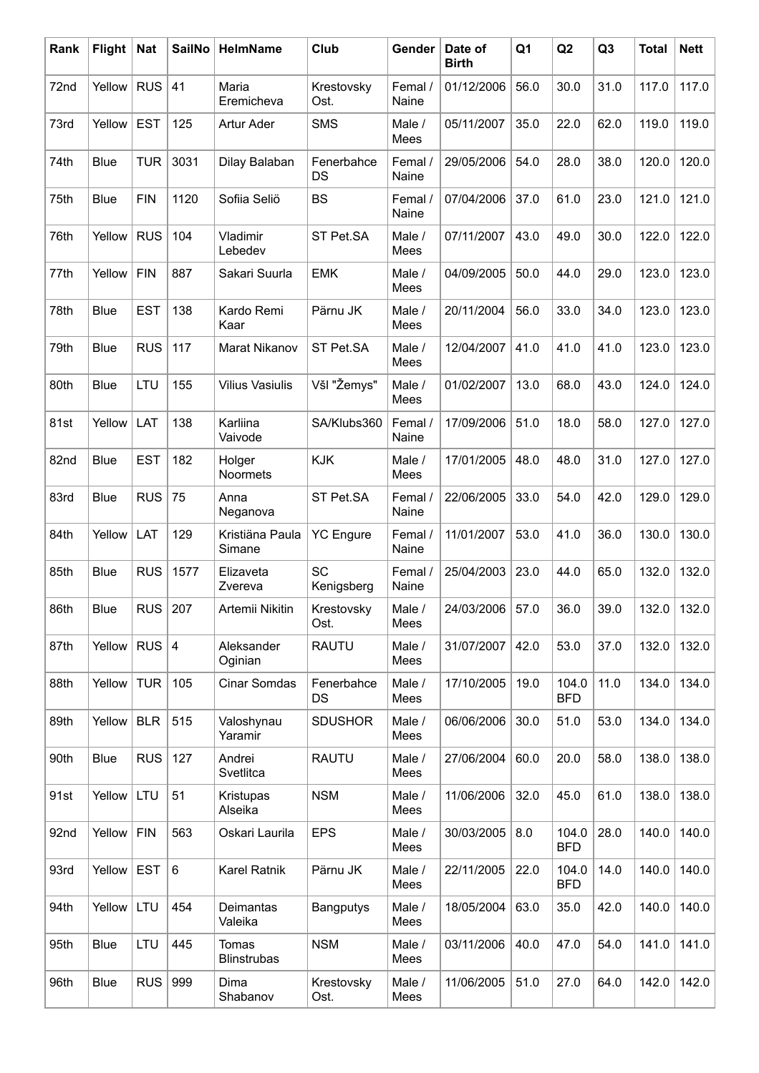| Rank | <b>Flight</b> | <b>Nat</b> | <b>SailNo</b> | <b>HelmName</b>             | Club               | Gender           | Date of<br><b>Birth</b> | Q <sub>1</sub> | Q2                  | Q <sub>3</sub> | <b>Total</b> | <b>Nett</b> |
|------|---------------|------------|---------------|-----------------------------|--------------------|------------------|-------------------------|----------------|---------------------|----------------|--------------|-------------|
| 72nd | Yellow        | <b>RUS</b> | 41            | Maria<br>Eremicheva         | Krestovsky<br>Ost. | Femal /<br>Naine | 01/12/2006              | 56.0           | 30.0                | 31.0           | 117.0        | 117.0       |
| 73rd | Yellow        | <b>EST</b> | 125           | Artur Ader                  | <b>SMS</b>         | Male /<br>Mees   | 05/11/2007              | 35.0           | 22.0                | 62.0           | 119.0        | 119.0       |
| 74th | Blue          | <b>TUR</b> | 3031          | Dilay Balaban               | Fenerbahce<br>DS   | Femal /<br>Naine | 29/05/2006              | 54.0           | 28.0                | 38.0           | 120.0        | 120.0       |
| 75th | Blue          | <b>FIN</b> | 1120          | Sofiia Seliö                | <b>BS</b>          | Femal /<br>Naine | 07/04/2006              | 37.0           | 61.0                | 23.0           | 121.0        | 121.0       |
| 76th | Yellow        | <b>RUS</b> | 104           | Vladimir<br>Lebedev         | ST Pet.SA          | Male /<br>Mees   | 07/11/2007              | 43.0           | 49.0                | 30.0           | 122.0        | 122.0       |
| 77th | Yellow        | <b>FIN</b> | 887           | Sakari Suurla               | <b>EMK</b>         | Male /<br>Mees   | 04/09/2005              | 50.0           | 44.0                | 29.0           | 123.0        | 123.0       |
| 78th | Blue          | <b>EST</b> | 138           | Kardo Remi<br>Kaar          | Pärnu JK           | Male /<br>Mees   | 20/11/2004              | 56.0           | 33.0                | 34.0           | 123.0        | 123.0       |
| 79th | Blue          | <b>RUS</b> | 117           | Marat Nikanov               | ST Pet.SA          | Male /<br>Mees   | 12/04/2007              | 41.0           | 41.0                | 41.0           | 123.0        | 123.0       |
| 80th | Blue          | LTU        | 155           | <b>Vilius Vasiulis</b>      | Všl "Žemys"        | Male /<br>Mees   | 01/02/2007              | 13.0           | 68.0                | 43.0           | 124.0        | 124.0       |
| 81st | Yellow        | LAT        | 138           | Karliina<br>Vaivode         | SA/Klubs360        | Femal /<br>Naine | 17/09/2006              | 51.0           | 18.0                | 58.0           | 127.0        | 127.0       |
| 82nd | Blue          | <b>EST</b> | 182           | Holger<br>Noormets          | <b>KJK</b>         | Male /<br>Mees   | 17/01/2005              | 48.0           | 48.0                | 31.0           | 127.0        | 127.0       |
| 83rd | Blue          | <b>RUS</b> | 75            | Anna<br>Neganova            | ST Pet.SA          | Femal /<br>Naine | 22/06/2005              | 33.0           | 54.0                | 42.0           | 129.0        | 129.0       |
| 84th | Yellow        | LAT        | 129           | Kristiäna Paula<br>Simane   | <b>YC</b> Engure   | Femal /<br>Naine | 11/01/2007              | 53.0           | 41.0                | 36.0           | 130.0        | 130.0       |
| 85th | Blue          | <b>RUS</b> | 1577          | Elizaveta<br>Zvereva        | SC<br>Kenigsberg   | Femal /<br>Naine | 25/04/2003              | 23.0           | 44.0                | 65.0           | 132.0        | 132.0       |
| 86th | Blue          | RUS        | 207           | Artemii Nikitin             | Krestovsky<br>Ost. | Male /<br>Mees   | 24/03/2006              | 57.0           | 36.0                | 39.0           | 132.0        | 132.0       |
| 87th | Yellow        | RUS $ 4$   |               | Aleksander<br>Oginian       | <b>RAUTU</b>       | Male /<br>Mees   | 31/07/2007              | 42.0           | 53.0                | 37.0           | 132.0        | 132.0       |
| 88th | Yellow        | <b>TUR</b> | 105           | Cinar Somdas                | Fenerbahce<br>DS   | Male /<br>Mees   | 17/10/2005              | 19.0           | 104.0<br><b>BFD</b> | 11.0           | 134.0        | 134.0       |
| 89th | Yellow        | <b>BLR</b> | 515           | Valoshynau<br>Yaramir       | <b>SDUSHOR</b>     | Male /<br>Mees   | 06/06/2006              | 30.0           | 51.0                | 53.0           | 134.0        | 134.0       |
| 90th | Blue          | <b>RUS</b> | 127           | Andrei<br>Svetlitca         | <b>RAUTU</b>       | Male /<br>Mees   | 27/06/2004              | 60.0           | 20.0                | 58.0           | 138.0        | 138.0       |
| 91st | Yellow        | LTU        | 51            | Kristupas<br>Alseika        | <b>NSM</b>         | Male /<br>Mees   | 11/06/2006              | 32.0           | 45.0                | 61.0           | 138.0        | 138.0       |
| 92nd | Yellow        | <b>FIN</b> | 563           | Oskari Laurila              | <b>EPS</b>         | Male /<br>Mees   | 30/03/2005              | 8.0            | 104.0<br><b>BFD</b> | 28.0           | 140.0        | 140.0       |
| 93rd | Yellow        | <b>EST</b> | 6             | Karel Ratnik                | Pärnu JK           | Male /<br>Mees   | 22/11/2005              | 22.0           | 104.0<br><b>BFD</b> | 14.0           | 140.0        | 140.0       |
| 94th | Yellow        | LTU        | 454           | Deimantas<br>Valeika        | <b>Bangputys</b>   | Male /<br>Mees   | 18/05/2004              | 63.0           | 35.0                | 42.0           | 140.0        | 140.0       |
| 95th | Blue          | LTU        | 445           | Tomas<br><b>Blinstrubas</b> | <b>NSM</b>         | Male /<br>Mees   | 03/11/2006              | 40.0           | 47.0                | 54.0           | 141.0        | 141.0       |
| 96th | <b>Blue</b>   | <b>RUS</b> | 999           | Dima<br>Shabanov            | Krestovsky<br>Ost. | Male /<br>Mees   | 11/06/2005              | 51.0           | 27.0                | 64.0           | 142.0        | 142.0       |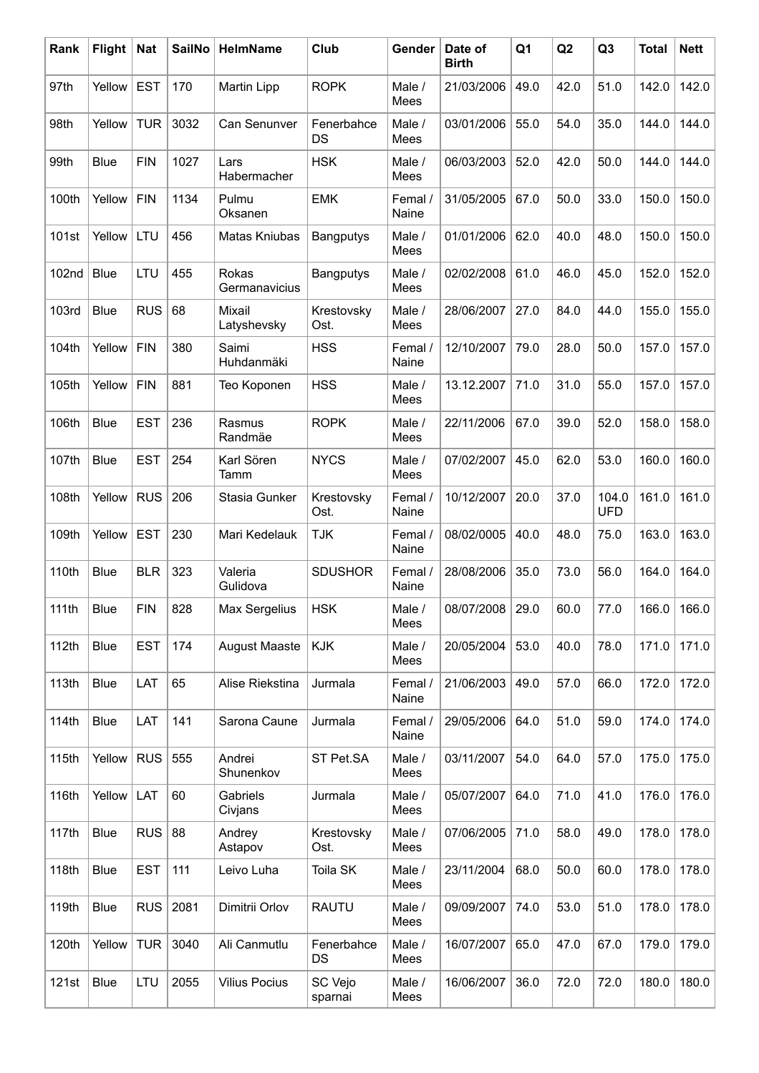| Rank              | Flight      | <b>Nat</b>  | <b>SailNo</b> | HelmName               | Club               | Gender           | Date of<br><b>Birth</b> | Q <sub>1</sub> | Q2   | Q <sub>3</sub>      | <b>Total</b> | <b>Nett</b> |
|-------------------|-------------|-------------|---------------|------------------------|--------------------|------------------|-------------------------|----------------|------|---------------------|--------------|-------------|
| 97th              | Yellow      | <b>EST</b>  | 170           | Martin Lipp            | <b>ROPK</b>        | Male /<br>Mees   | 21/03/2006              | 49.0           | 42.0 | 51.0                | 142.0        | 142.0       |
| 98th              | Yellow      | <b>TUR</b>  | 3032          | Can Senunver           | Fenerbahce<br>DS   | Male /<br>Mees   | 03/01/2006              | 55.0           | 54.0 | 35.0                | 144.0        | 144.0       |
| 99th              | <b>Blue</b> | <b>FIN</b>  | 1027          | Lars<br>Habermacher    | <b>HSK</b>         | Male /<br>Mees   | 06/03/2003              | 52.0           | 42.0 | 50.0                | 144.0        | 144.0       |
| 100th             | Yellow      | <b>FIN</b>  | 1134          | Pulmu<br>Oksanen       | <b>EMK</b>         | Femal /<br>Naine | 31/05/2005              | 67.0           | 50.0 | 33.0                | 150.0        | 150.0       |
| 101st             | Yellow      | LTU         | 456           | Matas Kniubas          | Bangputys          | Male /<br>Mees   | 01/01/2006              | 62.0           | 40.0 | 48.0                | 150.0        | 150.0       |
| 102 <sub>nd</sub> | <b>Blue</b> | LTU         | 455           | Rokas<br>Germanavicius | Bangputys          | Male /<br>Mees   | 02/02/2008              | 61.0           | 46.0 | 45.0                | 152.0        | 152.0       |
| <b>103rd</b>      | <b>Blue</b> | <b>RUS</b>  | 68            | Mixail<br>Latyshevsky  | Krestovsky<br>Ost. | Male /<br>Mees   | 28/06/2007              | 27.0           | 84.0 | 44.0                | 155.0        | 155.0       |
| 104th             | Yellow      | <b>FIN</b>  | 380           | Saimi<br>Huhdanmäki    | <b>HSS</b>         | Femal /<br>Naine | 12/10/2007              | 79.0           | 28.0 | 50.0                | 157.0        | 157.0       |
| 105th             | Yellow      | <b>FIN</b>  | 881           | Teo Koponen            | <b>HSS</b>         | Male /<br>Mees   | 13.12.2007              | 71.0           | 31.0 | 55.0                | 157.0        | 157.0       |
| 106th             | <b>Blue</b> | <b>EST</b>  | 236           | Rasmus<br>Randmäe      | <b>ROPK</b>        | Male /<br>Mees   | 22/11/2006              | 67.0           | 39.0 | 52.0                | 158.0        | 158.0       |
| 107th             | <b>Blue</b> | <b>EST</b>  | 254           | Karl Sören<br>Tamm     | <b>NYCS</b>        | Male /<br>Mees   | 07/02/2007              | 45.0           | 62.0 | 53.0                | 160.0        | 160.0       |
| 108th             | Yellow      | <b>RUS</b>  | 206           | Stasia Gunker          | Krestovsky<br>Ost. | Femal /<br>Naine | 10/12/2007              | 20.0           | 37.0 | 104.0<br><b>UFD</b> | 161.0        | 161.0       |
| 109th             | Yellow      | <b>EST</b>  | 230           | Mari Kedelauk          | <b>TJK</b>         | Femal /<br>Naine | 08/02/0005              | 40.0           | 48.0 | 75.0                | 163.0        | 163.0       |
| 110th             | <b>Blue</b> | <b>BLR</b>  | 323           | Valeria<br>Gulidova    | <b>SDUSHOR</b>     | Femal /<br>Naine | 28/08/2006              | 35.0           | 73.0 | 56.0                | 164.0        | 164.0       |
| 111th             | Blue        | ${\sf FIN}$ | 828           | Max Sergelius          | <b>HSK</b>         | Male /<br>Mees   | 08/07/2008              | 29.0           | 60.0 | 77.0                | 166.0        | 166.0       |
| 112th             | <b>Blue</b> | <b>EST</b>  | 174           | August Maaste          | <b>KJK</b>         | Male /<br>Mees   | 20/05/2004              | 53.0           | 40.0 | 78.0                | 171.0        | 171.0       |
| 113th             | Blue        | LAT         | 65            | Alise Riekstina        | Jurmala            | Femal /<br>Naine | 21/06/2003              | 49.0           | 57.0 | 66.0                | 172.0        | 172.0       |
| 114th             | Blue        | LAT         | 141           | Sarona Caune           | Jurmala            | Femal /<br>Naine | 29/05/2006              | 64.0           | 51.0 | 59.0                | 174.0        | 174.0       |
| 115th             | Yellow      | <b>RUS</b>  | 555           | Andrei<br>Shunenkov    | ST Pet.SA          | Male /<br>Mees   | 03/11/2007              | 54.0           | 64.0 | 57.0                | 175.0        | 175.0       |
| 116th             | Yellow      | LAT         | 60            | Gabriels<br>Civjans    | Jurmala            | Male /<br>Mees   | 05/07/2007              | 64.0           | 71.0 | 41.0                | 176.0        | 176.0       |
| 117th             | <b>Blue</b> | <b>RUS</b>  | 88            | Andrey<br>Astapov      | Krestovsky<br>Ost. | Male /<br>Mees   | 07/06/2005              | 71.0           | 58.0 | 49.0                | 178.0        | 178.0       |
| 118th             | Blue        | <b>EST</b>  | 111           | Leivo Luha             | Toila SK           | Male /<br>Mees   | 23/11/2004              | 68.0           | 50.0 | 60.0                | 178.0        | 178.0       |
| 119th             | Blue        | <b>RUS</b>  | 2081          | Dimitrii Orlov         | <b>RAUTU</b>       | Male /<br>Mees   | 09/09/2007              | 74.0           | 53.0 | 51.0                | 178.0        | 178.0       |
| 120th             | Yellow      | <b>TUR</b>  | 3040          | Ali Canmutlu           | Fenerbahce<br>DS   | Male /<br>Mees   | 16/07/2007              | 65.0           | 47.0 | 67.0                | 179.0        | 179.0       |
| 121st             | Blue        | LTU         | 2055          | <b>Vilius Pocius</b>   | SC Vejo<br>sparnai | Male /<br>Mees   | 16/06/2007              | 36.0           | 72.0 | 72.0                | 180.0        | 180.0       |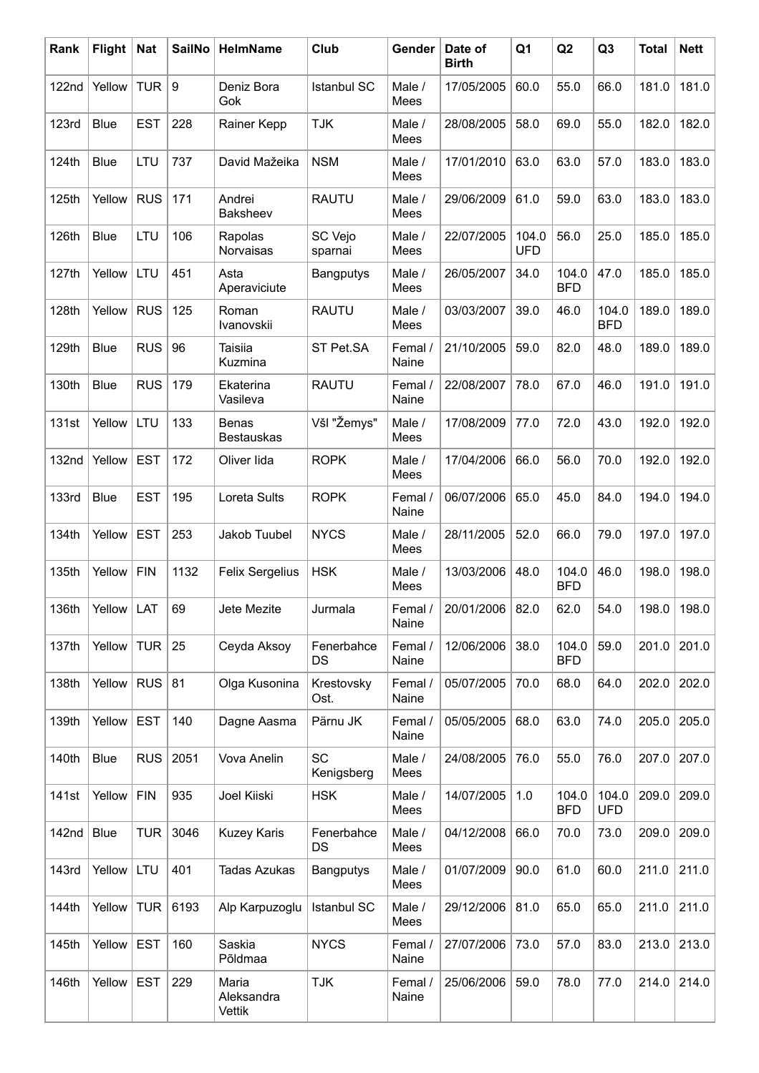| Rank         | <b>Flight</b> | <b>Nat</b> | <b>SailNo</b>    | HelmName                          | Club                    | Gender           | Date of<br><b>Birth</b> | Q1                  | Q2                  | Q <sub>3</sub>      | <b>Total</b> | <b>Nett</b> |
|--------------|---------------|------------|------------------|-----------------------------------|-------------------------|------------------|-------------------------|---------------------|---------------------|---------------------|--------------|-------------|
| 122nd        | Yellow        | <b>TUR</b> | $\boldsymbol{9}$ | Deniz Bora<br>Gok                 | <b>Istanbul SC</b>      | Male /<br>Mees   | 17/05/2005              | 60.0                | 55.0                | 66.0                | 181.0        | 181.0       |
| <b>123rd</b> | <b>Blue</b>   | <b>EST</b> | 228              | Rainer Kepp                       | <b>TJK</b>              | Male /<br>Mees   | 28/08/2005              | 58.0                | 69.0                | 55.0                | 182.0        | 182.0       |
| 124th        | <b>Blue</b>   | LTU        | 737              | David Mažeika                     | <b>NSM</b>              | Male /<br>Mees   | 17/01/2010              | 63.0                | 63.0                | 57.0                | 183.0        | 183.0       |
| 125th        | Yellow        | <b>RUS</b> | 171              | Andrei<br>Baksheev                | <b>RAUTU</b>            | Male /<br>Mees   | 29/06/2009              | 61.0                | 59.0                | 63.0                | 183.0        | 183.0       |
| 126th        | <b>Blue</b>   | LTU        | 106              | Rapolas<br>Norvaisas              | SC Vejo<br>sparnai      | Male /<br>Mees   | 22/07/2005              | 104.0<br><b>UFD</b> | 56.0                | 25.0                | 185.0        | 185.0       |
| 127th        | Yellow        | LTU        | 451              | Asta<br>Aperaviciute              | <b>Bangputys</b>        | Male /<br>Mees   | 26/05/2007              | 34.0                | 104.0<br><b>BFD</b> | 47.0                | 185.0        | 185.0       |
| 128th        | Yellow        | <b>RUS</b> | 125              | Roman<br>Ivanovskii               | <b>RAUTU</b>            | Male /<br>Mees   | 03/03/2007              | 39.0                | 46.0                | 104.0<br><b>BFD</b> | 189.0        | 189.0       |
| 129th        | <b>Blue</b>   | <b>RUS</b> | 96               | Taisiia<br>Kuzmina                | ST Pet.SA               | Femal /<br>Naine | 21/10/2005              | 59.0                | 82.0                | 48.0                | 189.0        | 189.0       |
| 130th        | <b>Blue</b>   | <b>RUS</b> | 179              | Ekaterina<br>Vasileva             | <b>RAUTU</b>            | Femal /<br>Naine | 22/08/2007              | 78.0                | 67.0                | 46.0                | 191.0        | 191.0       |
| 131st        | Yellow        | LTU        | 133              | <b>Benas</b><br><b>Bestauskas</b> | Všl "Žemys"             | Male /<br>Mees   | 17/08/2009              | 77.0                | 72.0                | 43.0                | 192.0        | 192.0       |
| 132nd        | Yellow        | <b>EST</b> | 172              | Oliver lida                       | <b>ROPK</b>             | Male /<br>Mees   | 17/04/2006              | 66.0                | 56.0                | 70.0                | 192.0        | 192.0       |
| 133rd        | <b>Blue</b>   | <b>EST</b> | 195              | Loreta Sults                      | <b>ROPK</b>             | Femal /<br>Naine | 06/07/2006              | 65.0                | 45.0                | 84.0                | 194.0        | 194.0       |
| 134th        | Yellow        | <b>EST</b> | 253              | Jakob Tuubel                      | <b>NYCS</b>             | Male /<br>Mees   | 28/11/2005              | 52.0                | 66.0                | 79.0                | 197.0        | 197.0       |
| 135th        | Yellow        | <b>FIN</b> | 1132             | Felix Sergelius                   | <b>HSK</b>              | Male /<br>Mees   | 13/03/2006              | 48.0                | 104.0<br><b>BFD</b> | 46.0                | 198.0        | 198.0       |
| 136th        | Yellow        | LAT        | 69               | Jete Mezite                       | Jurmala                 | Femal /<br>Naine | 20/01/2006              | 82.0                | 62.0                | 54.0                |              | 198.0 198.0 |
| 137th        | Yellow        | TUR $ 25$  |                  | Ceyda Aksoy                       | Fenerbahce<br>DS        | Femal /<br>Naine | 12/06/2006              | 38.0                | 104.0<br><b>BFD</b> | 59.0                | 201.0        | 201.0       |
| 138th        | Yellow        | $RUS$ 81   |                  | Olga Kusonina                     | Krestovsky<br>Ost.      | Femal /<br>Naine | 05/07/2005              | 70.0                | 68.0                | 64.0                | 202.0        | 202.0       |
| 139th        | Yellow        | <b>EST</b> | 140              | Dagne Aasma                       | Pärnu JK                | Femal /<br>Naine | 05/05/2005              | 68.0                | 63.0                | 74.0                | 205.0        | 205.0       |
| 140th        | <b>Blue</b>   | <b>RUS</b> | 2051             | Vova Anelin                       | <b>SC</b><br>Kenigsberg | Male /<br>Mees   | 24/08/2005              | 76.0                | 55.0                | 76.0                | 207.0        | 207.0       |
| 141st        | Yellow        | <b>FIN</b> | 935              | Joel Kiiski                       | <b>HSK</b>              | Male /<br>Mees   | 14/07/2005              | 1.0                 | 104.0<br><b>BFD</b> | 104.0<br><b>UFD</b> | 209.0        | 209.0       |
| 142nd        | <b>Blue</b>   | <b>TUR</b> | 3046             | <b>Kuzey Karis</b>                | Fenerbahce<br>DS        | Male /<br>Mees   | 04/12/2008              | 66.0                | 70.0                | 73.0                | 209.0        | 209.0       |
| 143rd        | Yellow        | LTU        | 401              | <b>Tadas Azukas</b>               | Bangputys               | Male /<br>Mees   | 01/07/2009              | 90.0                | 61.0                | 60.0                | 211.0        | 211.0       |
| 144th        | Yellow        | TUR        | 6193             | Alp Karpuzoglu                    | <b>Istanbul SC</b>      | Male /<br>Mees   | 29/12/2006              | 81.0                | 65.0                | 65.0                | 211.0        | 211.0       |
| 145th        | Yellow        | <b>EST</b> | 160              | Saskia<br>Põldmaa                 | <b>NYCS</b>             | Femal /<br>Naine | 27/07/2006              | 73.0                | 57.0                | 83.0                | 213.0        | 213.0       |
| 146th        | Yellow        | <b>EST</b> | 229              | Maria<br>Aleksandra<br>Vettik     | <b>TJK</b>              | Femal /<br>Naine | 25/06/2006              | 59.0                | 78.0                | 77.0                | 214.0        | 214.0       |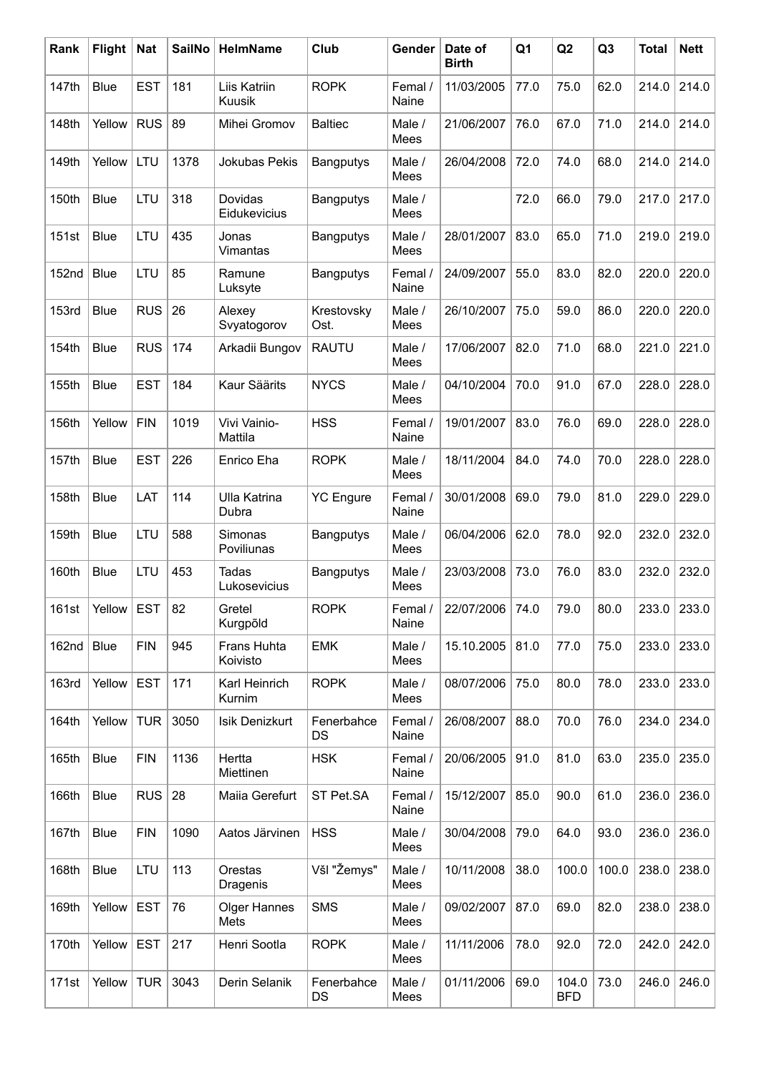| Rank              | <b>Flight</b> | <b>Nat</b> | <b>SailNo</b> | HelmName                     | Club                    | Gender           | Date of<br><b>Birth</b> | Q1   | Q2                  | Q <sub>3</sub> | <b>Total</b> | <b>Nett</b> |
|-------------------|---------------|------------|---------------|------------------------------|-------------------------|------------------|-------------------------|------|---------------------|----------------|--------------|-------------|
| 147th             | <b>Blue</b>   | <b>EST</b> | 181           | Liis Katriin<br>Kuusik       | <b>ROPK</b>             | Femal /<br>Naine | 11/03/2005              | 77.0 | 75.0                | 62.0           | 214.0        | 214.0       |
| 148th             | Yellow        | <b>RUS</b> | 89            | Mihei Gromov                 | <b>Baltiec</b>          | Male /<br>Mees   | 21/06/2007              | 76.0 | 67.0                | 71.0           | 214.0        | 214.0       |
| 149th             | Yellow        | LTU        | 1378          | Jokubas Pekis                | <b>Bangputys</b>        | Male /<br>Mees   | 26/04/2008              | 72.0 | 74.0                | 68.0           | 214.0        | 214.0       |
| 150th             | <b>Blue</b>   | LTU        | 318           | Dovidas<br>Eidukevicius      | <b>Bangputys</b>        | Male /<br>Mees   |                         | 72.0 | 66.0                | 79.0           | 217.0        | 217.0       |
| 151st             | <b>Blue</b>   | LTU        | 435           | Jonas<br>Vimantas            | Bangputys               | Male /<br>Mees   | 28/01/2007              | 83.0 | 65.0                | 71.0           | 219.0        | 219.0       |
| 152 <sub>nd</sub> | <b>Blue</b>   | LTU        | 85            | Ramune<br>Luksyte            | <b>Bangputys</b>        | Femal /<br>Naine | 24/09/2007              | 55.0 | 83.0                | 82.0           | 220.0        | 220.0       |
| 153rd             | <b>Blue</b>   | <b>RUS</b> | 26            | Alexey<br>Svyatogorov        | Krestovsky<br>Ost.      | Male /<br>Mees   | 26/10/2007              | 75.0 | 59.0                | 86.0           | 220.0        | 220.0       |
| 154th             | <b>Blue</b>   | <b>RUS</b> | 174           | Arkadii Bungov               | <b>RAUTU</b>            | Male /<br>Mees   | 17/06/2007              | 82.0 | 71.0                | 68.0           | 221.0        | 221.0       |
| 155th             | <b>Blue</b>   | <b>EST</b> | 184           | Kaur Säärits                 | <b>NYCS</b>             | Male /<br>Mees   | 04/10/2004              | 70.0 | 91.0                | 67.0           | 228.0        | 228.0       |
| 156th             | Yellow        | <b>FIN</b> | 1019          | Vivi Vainio-<br>Mattila      | <b>HSS</b>              | Femal /<br>Naine | 19/01/2007              | 83.0 | 76.0                | 69.0           | 228.0        | 228.0       |
| 157th             | <b>Blue</b>   | <b>EST</b> | 226           | Enrico Eha                   | <b>ROPK</b>             | Male /<br>Mees   | 18/11/2004              | 84.0 | 74.0                | 70.0           | 228.0        | 228.0       |
| 158th             | <b>Blue</b>   | LAT        | 114           | <b>Ulla Katrina</b><br>Dubra | <b>YC Engure</b>        | Femal /<br>Naine | 30/01/2008              | 69.0 | 79.0                | 81.0           | 229.0        | 229.0       |
| 159th             | <b>Blue</b>   | LTU        | 588           | Simonas<br>Poviliunas        | Bangputys               | Male /<br>Mees   | 06/04/2006              | 62.0 | 78.0                | 92.0           | 232.0        | 232.0       |
| 160th             | <b>Blue</b>   | LTU        | 453           | Tadas<br>Lukosevicius        | Bangputys               | Male /<br>Mees   | 23/03/2008              | 73.0 | 76.0                | 83.0           | 232.0        | 232.0       |
| 161st             | Yellow        | <b>EST</b> | 82            | Gretel<br>Kurgpõld           | <b>ROPK</b>             | Femal /<br>Naine | 22/07/2006              | 74.0 | 79.0                | 80.0           |              | 233.0 233.0 |
| 162nd             | <b>Blue</b>   | <b>FIN</b> | 945           | Frans Huhta<br>Koivisto      | <b>EMK</b>              | Male /<br>Mees   | 15.10.2005              | 81.0 | 77.0                | 75.0           | 233.0        | 233.0       |
| 163rd             | Yellow        | <b>EST</b> | 171           | Karl Heinrich<br>Kurnim      | <b>ROPK</b>             | Male /<br>Mees   | 08/07/2006              | 75.0 | 80.0                | 78.0           | 233.0        | 233.0       |
| 164th             | Yellow        | <b>TUR</b> | 3050          | Isik Denizkurt               | Fenerbahce<br><b>DS</b> | Femal /<br>Naine | 26/08/2007              | 88.0 | 70.0                | 76.0           | 234.0        | 234.0       |
| 165th             | <b>Blue</b>   | <b>FIN</b> | 1136          | Hertta<br>Miettinen          | <b>HSK</b>              | Femal /<br>Naine | 20/06/2005              | 91.0 | 81.0                | 63.0           | 235.0        | 235.0       |
| 166th             | <b>Blue</b>   | RUS        | 28            | Maiia Gerefurt               | ST Pet.SA               | Femal /<br>Naine | 15/12/2007              | 85.0 | 90.0                | 61.0           | 236.0        | 236.0       |
| 167th             | <b>Blue</b>   | <b>FIN</b> | 1090          | Aatos Järvinen               | <b>HSS</b>              | Male /<br>Mees   | 30/04/2008              | 79.0 | 64.0                | 93.0           | 236.0        | 236.0       |
| 168th             | <b>Blue</b>   | <b>LTU</b> | 113           | Orestas<br>Dragenis          | Všl "Žemys"             | Male /<br>Mees   | 10/11/2008              | 38.0 | 100.0               | 100.0          | 238.0        | 238.0       |
| 169th             | Yellow        | <b>EST</b> | 76            | <b>Olger Hannes</b><br>Mets  | <b>SMS</b>              | Male /<br>Mees   | 09/02/2007              | 87.0 | 69.0                | 82.0           | 238.0        | 238.0       |
| 170th             | Yellow        | <b>EST</b> | 217           | Henri Sootla                 | <b>ROPK</b>             | Male /<br>Mees   | 11/11/2006              | 78.0 | 92.0                | 72.0           | 242.0        | 242.0       |
| 171st             | Yellow        | <b>TUR</b> | 3043          | Derin Selanik                | Fenerbahce<br>DS        | Male /<br>Mees   | 01/11/2006              | 69.0 | 104.0<br><b>BFD</b> | 73.0           | 246.0        | 246.0       |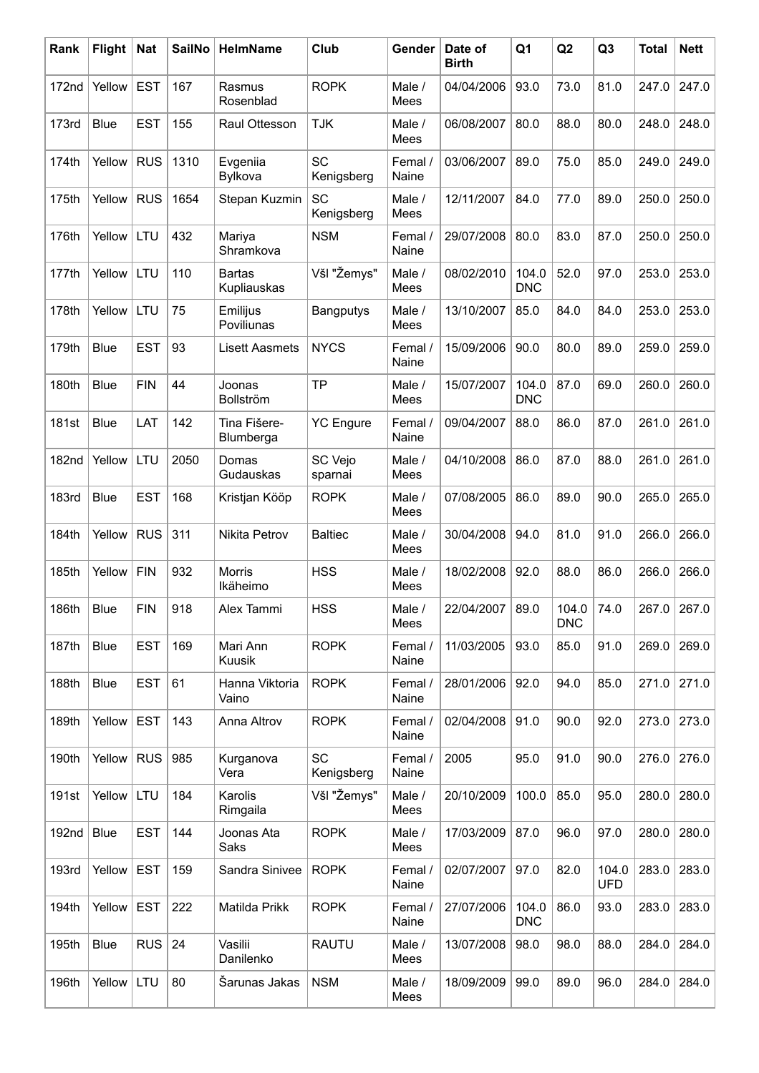| Rank         | <b>Flight</b> | <b>Nat</b> | <b>SailNo</b> | HelmName                     | Club                    | Gender           | Date of<br><b>Birth</b> | Q1                  | Q2                  | Q <sub>3</sub>      | <b>Total</b> | <b>Nett</b> |
|--------------|---------------|------------|---------------|------------------------------|-------------------------|------------------|-------------------------|---------------------|---------------------|---------------------|--------------|-------------|
| 172nd        | Yellow        | <b>EST</b> | 167           | Rasmus<br>Rosenblad          | <b>ROPK</b>             | Male /<br>Mees   | 04/04/2006              | 93.0                | 73.0                | 81.0                | 247.0        | 247.0       |
| 173rd        | <b>Blue</b>   | <b>EST</b> | 155           | Raul Ottesson                | <b>TJK</b>              | Male /<br>Mees   | 06/08/2007              | 80.0                | 88.0                | 80.0                | 248.0        | 248.0       |
| 174th        | Yellow        | <b>RUS</b> | 1310          | Evgeniia<br>Bylkova          | <b>SC</b><br>Kenigsberg | Femal /<br>Naine | 03/06/2007              | 89.0                | 75.0                | 85.0                | 249.0        | 249.0       |
| 175th        | Yellow        | <b>RUS</b> | 1654          | Stepan Kuzmin                | SC<br>Kenigsberg        | Male /<br>Mees   | 12/11/2007              | 84.0                | 77.0                | 89.0                | 250.0        | 250.0       |
| 176th        | Yellow        | LTU        | 432           | Mariya<br>Shramkova          | <b>NSM</b>              | Femal /<br>Naine | 29/07/2008              | 80.0                | 83.0                | 87.0                | 250.0        | 250.0       |
| 177th        | Yellow        | LTU        | 110           | <b>Bartas</b><br>Kupliauskas | Všl "Žemys"             | Male /<br>Mees   | 08/02/2010              | 104.0<br><b>DNC</b> | 52.0                | 97.0                | 253.0        | 253.0       |
| 178th        | Yellow        | LTU        | 75            | Emilijus<br>Poviliunas       | Bangputys               | Male /<br>Mees   | 13/10/2007              | 85.0                | 84.0                | 84.0                | 253.0        | 253.0       |
| 179th        | <b>Blue</b>   | <b>EST</b> | 93            | <b>Lisett Aasmets</b>        | <b>NYCS</b>             | Femal /<br>Naine | 15/09/2006              | 90.0                | 80.0                | 89.0                | 259.0        | 259.0       |
| 180th        | <b>Blue</b>   | <b>FIN</b> | 44            | Joonas<br>Bollström          | <b>TP</b>               | Male /<br>Mees   | 15/07/2007              | 104.0<br><b>DNC</b> | 87.0                | 69.0                | 260.0        | 260.0       |
| 181st        | <b>Blue</b>   | LAT        | 142           | Tina Fišere-<br>Blumberga    | <b>YC</b> Engure        | Femal /<br>Naine | 09/04/2007              | 88.0                | 86.0                | 87.0                | 261.0        | 261.0       |
| 182nd        | Yellow        | LTU        | 2050          | Domas<br>Gudauskas           | SC Vejo<br>sparnai      | Male /<br>Mees   | 04/10/2008              | 86.0                | 87.0                | 88.0                | 261.0        | 261.0       |
| <b>183rd</b> | <b>Blue</b>   | <b>EST</b> | 168           | Kristjan Kööp                | <b>ROPK</b>             | Male /<br>Mees   | 07/08/2005              | 86.0                | 89.0                | 90.0                | 265.0        | 265.0       |
| 184th        | Yellow        | <b>RUS</b> | 311           | Nikita Petrov                | <b>Baltiec</b>          | Male /<br>Mees   | 30/04/2008              | 94.0                | 81.0                | 91.0                | 266.0        | 266.0       |
| 185th        | Yellow        | <b>FIN</b> | 932           | <b>Morris</b><br>Ikäheimo    | <b>HSS</b>              | Male /<br>Mees   | 18/02/2008              | 92.0                | 88.0                | 86.0                | 266.0        | 266.0       |
| 186th        | Blue          | <b>FIN</b> | 918           | Alex Tammi                   | <b>HSS</b>              | Male /<br>Mees   | 22/04/2007              | 89.0                | 104.0<br><b>DNC</b> | 74.0                | 267.0        | 267.0       |
| 187th        | <b>Blue</b>   | <b>EST</b> | 169           | Mari Ann<br>Kuusik           | <b>ROPK</b>             | Femal /<br>Naine | 11/03/2005              | 93.0                | 85.0                | 91.0                | 269.0        | 269.0       |
| 188th        | <b>Blue</b>   | <b>EST</b> | 61            | Hanna Viktoria<br>Vaino      | <b>ROPK</b>             | Femal /<br>Naine | 28/01/2006              | 92.0                | 94.0                | 85.0                | 271.0        | 271.0       |
| 189th        | Yellow        | <b>EST</b> | 143           | Anna Altrov                  | <b>ROPK</b>             | Femal /<br>Naine | 02/04/2008              | 91.0                | 90.0                | 92.0                | 273.0        | 273.0       |
| 190th        | Yellow        | <b>RUS</b> | 985           | Kurganova<br>Vera            | <b>SC</b><br>Kenigsberg | Femal /<br>Naine | 2005                    | 95.0                | 91.0                | 90.0                | 276.0        | 276.0       |
| 191st        | Yellow        | LTU        | 184           | Karolis<br>Rimgaila          | Všl "Žemys"             | Male /<br>Mees   | 20/10/2009              | 100.0               | 85.0                | 95.0                | 280.0        | 280.0       |
| 192nd        | Blue          | <b>EST</b> | 144           | Joonas Ata<br>Saks           | <b>ROPK</b>             | Male /<br>Mees   | 17/03/2009              | 87.0                | 96.0                | 97.0                | 280.0        | 280.0       |
| 193rd        | Yellow        | <b>EST</b> | 159           | Sandra Sinivee               | <b>ROPK</b>             | Femal /<br>Naine | 02/07/2007              | 97.0                | 82.0                | 104.0<br><b>UFD</b> | 283.0        | 283.0       |
| 194th        | Yellow        | <b>EST</b> | 222           | Matilda Prikk                | <b>ROPK</b>             | Femal /<br>Naine | 27/07/2006              | 104.0<br><b>DNC</b> | 86.0                | 93.0                | 283.0        | 283.0       |
| 195th        | Blue          | <b>RUS</b> | 24            | Vasilii<br>Danilenko         | <b>RAUTU</b>            | Male /<br>Mees   | 13/07/2008              | 98.0                | 98.0                | 88.0                | 284.0        | 284.0       |
| 196th        | Yellow        | LTU        | 80            | Šarunas Jakas                | <b>NSM</b>              | Male /<br>Mees   | 18/09/2009              | 99.0                | 89.0                | 96.0                | 284.0        | 284.0       |